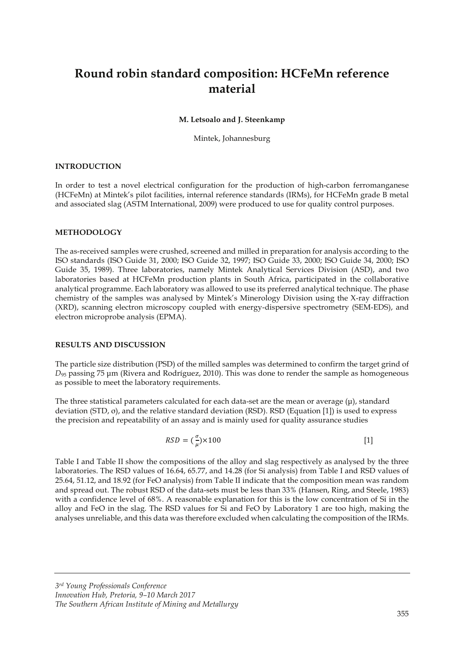# **Round robin standard composition: HCFeMn reference material**

#### **M. Letsoalo and J. Steenkamp**

Mintek, Johannesburg

#### **INTRODUCTION**

In order to test a novel electrical configuration for the production of high-carbon ferromanganese (HCFeMn) at Mintek's pilot facilities, internal reference standards (IRMs), for HCFeMn grade B metal and associated slag (ASTM International, 2009) were produced to use for quality control purposes.

#### **METHODOLOGY**

The as-received samples were crushed, screened and milled in preparation for analysis according to the ISO standards (ISO Guide 31, 2000; ISO Guide 32, 1997; ISO Guide 33, 2000; ISO Guide 34, 2000; ISO Guide 35, 1989). Three laboratories, namely Mintek Analytical Services Division (ASD), and two laboratories based at HCFeMn production plants in South Africa, participated in the collaborative analytical programme. Each laboratory was allowed to use its preferred analytical technique. The phase chemistry of the samples was analysed by Mintek's Minerology Division using the X-ray diffraction (XRD), scanning electron microscopy coupled with energy-dispersive spectrometry (SEM-EDS), and electron microprobe analysis (EPMA).

#### **RESULTS AND DISCUSSION**

The particle size distribution (PSD) of the milled samples was determined to confirm the target grind of *D*95 passing 75 μm (Rivera and Rodríguez, 2010). This was done to render the sample as homogeneous as possible to meet the laboratory requirements.

The three statistical parameters calculated for each data-set are the mean or average  $(\mu)$ , standard deviation (STD, σ), and the relative standard deviation (RSD). RSD (Equation [1]) is used to express the precision and repeatability of an assay and is mainly used for quality assurance studies

$$
RSD = \left(\frac{\sigma}{\mu}\right) \times 100\tag{1}
$$

Table I and Table II show the compositions of the alloy and slag respectively as analysed by the three laboratories. The RSD values of 16.64, 65.77, and 14.28 (for Si analysis) from Table I and RSD values of 25.64, 51.12, and 18.92 (for FeO analysis) from Table II indicate that the composition mean was random and spread out. The robust RSD of the data-sets must be less than 33% (Hansen, Ring, and Steele, 1983) with a confidence level of 68%. A reasonable explanation for this is the low concentration of Si in the alloy and FeO in the slag. The RSD values for Si and FeO by Laboratory 1 are too high, making the analyses unreliable, and this data was therefore excluded when calculating the composition of the IRMs.

*3rd Young Professionals Conference Innovation Hub, Pretoria, 9–10 March 2017 The Southern African Institute of Mining and Metallurgy*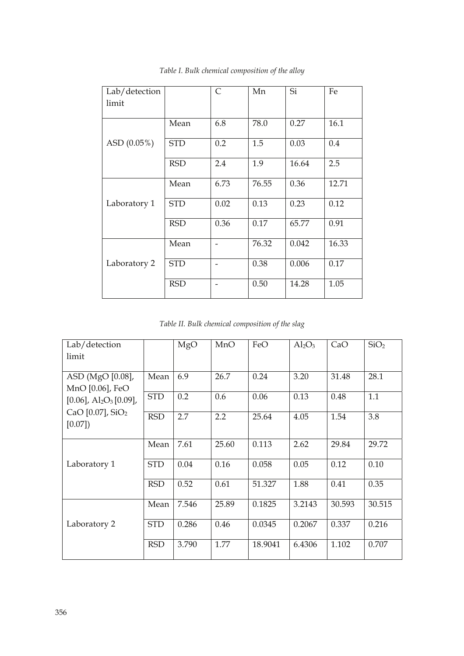| Lab/detection  |            | $\mathsf{C}$ | Mn    | Si    | Fe    |
|----------------|------------|--------------|-------|-------|-------|
| limit          |            |              |       |       |       |
| ASD $(0.05\%)$ | Mean       | 6.8          | 78.0  | 0.27  | 16.1  |
|                | <b>STD</b> | 0.2          | 1.5   | 0.03  | 0.4   |
|                | <b>RSD</b> | 2.4          | 1.9   | 16.64 | 2.5   |
| Laboratory 1   | Mean       | 6.73         | 76.55 | 0.36  | 12.71 |
|                | <b>STD</b> | 0.02         | 0.13  | 0.23  | 0.12  |
|                | <b>RSD</b> | 0.36         | 0.17  | 65.77 | 0.91  |
|                | Mean       |              | 76.32 | 0.042 | 16.33 |
| Laboratory 2   | <b>STD</b> |              | 0.38  | 0.006 | 0.17  |
|                | <b>RSD</b> |              | 0.50  | 14.28 | 1.05  |

*Table I. Bulk chemical composition of the alloy* 

*Table II. Bulk chemical composition of the slag* 

| Lab/detection<br>limit                                                                                                                   |            | MgO   | MnO   | FeO     | $Al_2O_3$ | CaO    | SiO <sub>2</sub> |
|------------------------------------------------------------------------------------------------------------------------------------------|------------|-------|-------|---------|-----------|--------|------------------|
| ASD (MgO [0.08],<br>MnO [0.06], FeO<br>$[0.06]$ , Al <sub>2</sub> O <sub>3</sub> $[0.09]$ ,<br>CaO $[0.07]$ , SiO <sub>2</sub><br>[0.07] | Mean       | 6.9   | 26.7  | 0.24    | 3.20      | 31.48  | 28.1             |
|                                                                                                                                          | <b>STD</b> | 0.2   | 0.6   | 0.06    | 0.13      | 0.48   | 1.1              |
|                                                                                                                                          | <b>RSD</b> | 2.7   | 2.2   | 25.64   | 4.05      | 1.54   | 3.8              |
| Laboratory 1                                                                                                                             | Mean       | 7.61  | 25.60 | 0.113   | 2.62      | 29.84  | 29.72            |
|                                                                                                                                          | <b>STD</b> | 0.04  | 0.16  | 0.058   | 0.05      | 0.12   | 0.10             |
|                                                                                                                                          | <b>RSD</b> | 0.52  | 0.61  | 51.327  | 1.88      | 0.41   | 0.35             |
| Laboratory 2                                                                                                                             | Mean       | 7.546 | 25.89 | 0.1825  | 3.2143    | 30.593 | 30.515           |
|                                                                                                                                          | <b>STD</b> | 0.286 | 0.46  | 0.0345  | 0.2067    | 0.337  | 0.216            |
|                                                                                                                                          | <b>RSD</b> | 3.790 | 1.77  | 18.9041 | 6.4306    | 1.102  | 0.707            |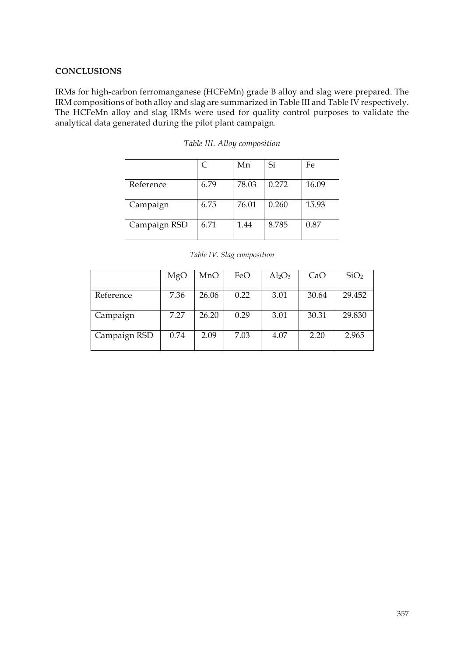### **CONCLUSIONS**

IRMs for high-carbon ferromanganese (HCFeMn) grade B alloy and slag were prepared. The IRM compositions of both alloy and slag are summarized in Table III and Table IV respectively. The HCFeMn alloy and slag IRMs were used for quality control purposes to validate the analytical data generated during the pilot plant campaign.

|              | C    | Mn    | Si    | Fe    |
|--------------|------|-------|-------|-------|
| Reference    | 6.79 | 78.03 | 0.272 | 16.09 |
| Campaign     | 6.75 | 76.01 | 0.260 | 15.93 |
| Campaign RSD | 6.71 | 1.44  | 8.785 | 0.87  |

|  |  | Table III. Alloy composition |
|--|--|------------------------------|
|--|--|------------------------------|

| Table IV. Slag composition |  |
|----------------------------|--|
|----------------------------|--|

|              | MgO  | MnO   | FeO  | $Al_2O_3$ | CaO   | SiO <sub>2</sub> |
|--------------|------|-------|------|-----------|-------|------------------|
| Reference    | 7.36 | 26.06 | 0.22 | 3.01      | 30.64 | 29.452           |
| Campaign     | 7.27 | 26.20 | 0.29 | 3.01      | 30.31 | 29.830           |
| Campaign RSD | 0.74 | 2.09  | 7.03 | 4.07      | 2.20  | 2.965            |